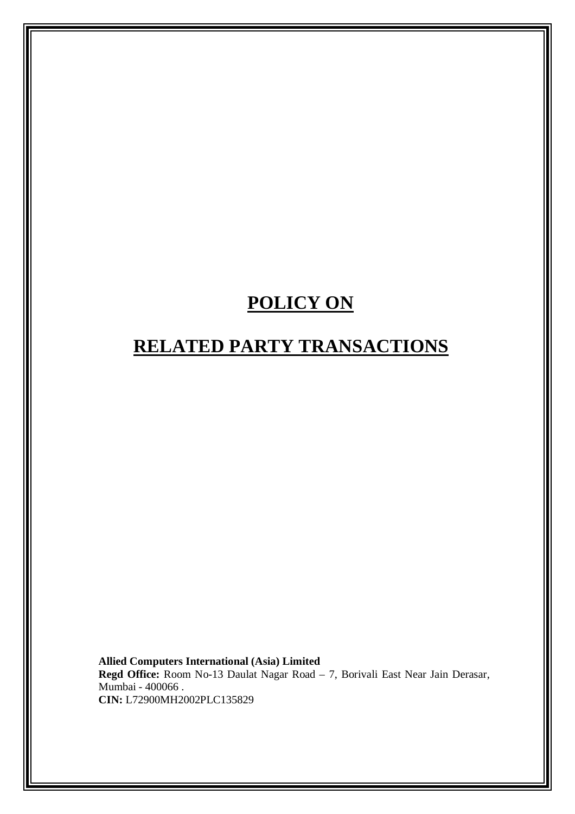# **POLICY ON**

# **RELATED PARTY TRANSACTIONS**

**Allied Computers International (Asia) Limited Regd Office:** Room No-13 Daulat Nagar Road – 7, Borivali East Near Jain Derasar, Mumbai - 400066 . **CIN:** L72900MH2002PLC135829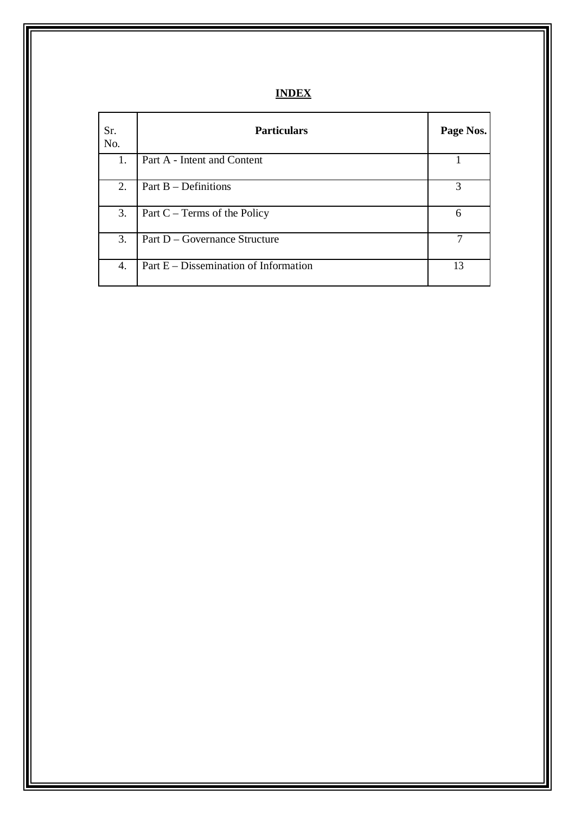# **INDEX**

| Sr.<br>No. | <b>Particulars</b>                    | Page Nos. |
|------------|---------------------------------------|-----------|
| 1.         | Part A - Intent and Content           |           |
| 2.         | Part $B$ – Definitions                | 3         |
| 3.         | Part $C - Terms$ of the Policy        | 6         |
| 3.         | Part D – Governance Structure         |           |
| 4.         | Part E – Dissemination of Information | 13        |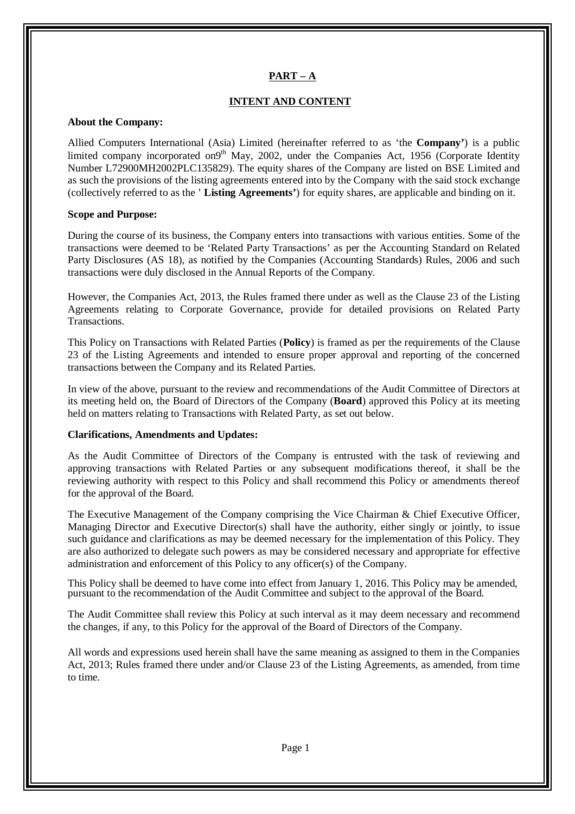#### **PART – A**

#### **INTENT AND CONTENT**

#### **About the Company:**

Allied Computers International (Asia) Limited (hereinafter referred to as 'the **Company'**) is a public limited company incorporated on9<sup>th</sup> May, 2002, under the Companies Act, 1956 (Corporate Identity Number L72900MH2002PLC135829). The equity shares of the Company are listed on BSE Limited and as such the provisions of the listing agreements entered into by the Company with the said stock exchange (collectively referred to as the ' **Listing Agreements'**) for equity shares, are applicable and binding on it.

#### **Scope and Purpose:**

During the course of its business, the Company enters into transactions with various entities. Some of the transactions were deemed to be 'Related Party Transactions' as per the Accounting Standard on Related Party Disclosures (AS 18), as notified by the Companies (Accounting Standards) Rules, 2006 and such transactions were duly disclosed in the Annual Reports of the Company.

However, the Companies Act, 2013, the Rules framed there under as well as the Clause 23 of the Listing Agreements relating to Corporate Governance, provide for detailed provisions on Related Party Transactions.

This Policy on Transactions with Related Parties (**Policy**) is framed as per the requirements of the Clause 23 of the Listing Agreements and intended to ensure proper approval and reporting of the concerned transactions between the Company and its Related Parties.

In view of the above, pursuant to the review and recommendations of the Audit Committee of Directors at its meeting held on, the Board of Directors of the Company (**Board**) approved this Policy at its meeting held on matters relating to Transactions with Related Party, as set out below.

#### **Clarifications, Amendments and Updates:**

As the Audit Committee of Directors of the Company is entrusted with the task of reviewing and approving transactions with Related Parties or any subsequent modifications thereof, it shall be the reviewing authority with respect to this Policy and shall recommend this Policy or amendments thereof for the approval of the Board.

The Executive Management of the Company comprising the Vice Chairman & Chief Executive Officer, Managing Director and Executive Director(s) shall have the authority, either singly or jointly, to issue such guidance and clarifications as may be deemed necessary for the implementation of this Policy. They are also authorized to delegate such powers as may be considered necessary and appropriate for effective administration and enforcement of this Policy to any officer(s) of the Company.

This Policy shall be deemed to have come into effect from January 1, 2016. This Policy may be amended, pursuant to the recommendation of the Audit Committee and subject to the approval of the Board.

The Audit Committee shall review this Policy at such interval as it may deem necessary and recommend the changes, if any, to this Policy for the approval of the Board of Directors of the Company.

All words and expressions used herein shall have the same meaning as assigned to them in the Companies Act, 2013; Rules framed there under and/or Clause 23 of the Listing Agreements, as amended, from time to time.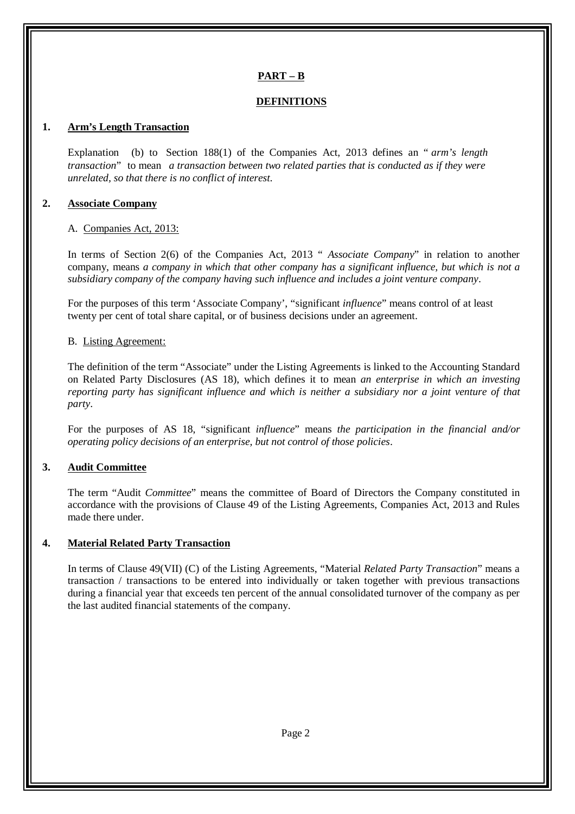# **PART – B**

### **DEFINITIONS**

### **1. Arm's Length Transaction**

Explanation (b) to Section 188(1) of the Companies Act, 2013 defines an " *arm's length transaction*" to mean *a transaction between two related parties that is conducted as if they were unrelated, so that there is no conflict of interest*.

#### **2. Associate Company**

#### A. Companies Act, 2013:

In terms of Section 2(6) of the Companies Act, 2013 " *Associate Company*" in relation to another company, means *a company in which that other company has a significant influence, but which is not a subsidiary company of the company having such influence and includes a joint venture company*.

For the purposes of this term 'Associate Company', "significant *influence*" means control of at least twenty per cent of total share capital, or of business decisions under an agreement.

#### B. Listing Agreement:

The definition of the term "Associate" under the Listing Agreements is linked to the Accounting Standard on Related Party Disclosures (AS 18), which defines it to mean *an enterprise in which an investing reporting party has significant influence and which is neither a subsidiary nor a joint venture of that party*.

For the purposes of AS 18, "significant *influence*" means *the participation in the financial and/or operating policy decisions of an enterprise, but not control of those policies*.

#### **3. Audit Committee**

The term "Audit *Committee*" means the committee of Board of Directors the Company constituted in accordance with the provisions of Clause 49 of the Listing Agreements, Companies Act, 2013 and Rules made there under.

#### **4. Material Related Party Transaction**

In terms of Clause 49(VII) (C) of the Listing Agreements, "Material *Related Party Transaction*" means a transaction / transactions to be entered into individually or taken together with previous transactions during a financial year that exceeds ten percent of the annual consolidated turnover of the company as per the last audited financial statements of the company.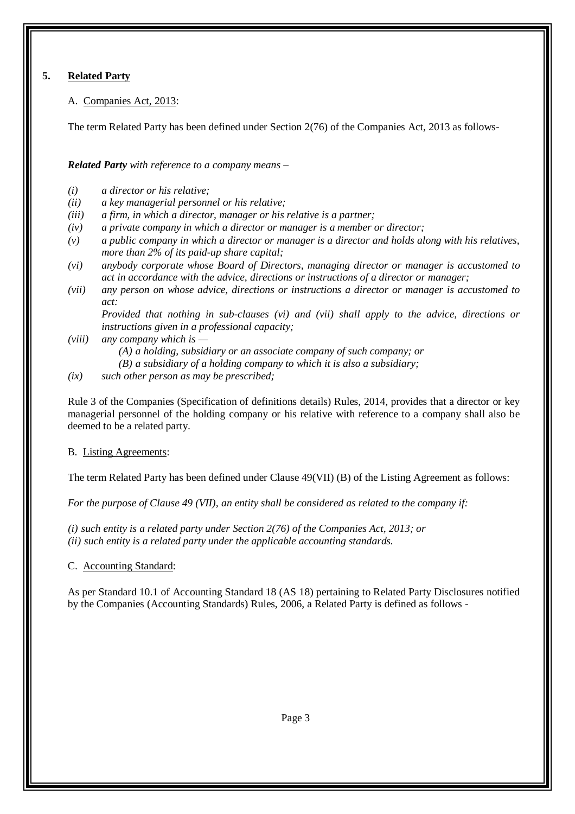# **5. Related Party**

A. Companies Act, 2013:

The term Related Party has been defined under Section 2(76) of the Companies Act, 2013 as follows-

*Related Party with reference to a company means –*

- *(i) a director or his relative;*
- *(ii) a key managerial personnel or his relative;*
- *(iii) a firm, in which a director, manager or his relative is a partner;*
- *(iv) a private company in which a director or manager is a member or director;*
- *(v) a public company in which a director or manager is a director and holds along with his relatives, more than 2% of its paid-up share capital;*
- *(vi) anybody corporate whose Board of Directors, managing director or manager is accustomed to act in accordance with the advice, directions or instructions of a director or manager;*
- *(vii) any person on whose advice, directions or instructions a director or manager is accustomed to act:*

*Provided that nothing in sub-clauses (vi) and (vii) shall apply to the advice, directions or instructions given in a professional capacity;* 

- *(viii) any company which is —*
	- *(A) a holding, subsidiary or an associate company of such company; or*
	- *(B) a subsidiary of a holding company to which it is also a subsidiary;*
- *(ix) such other person as may be prescribed;*

Rule 3 of the Companies (Specification of definitions details) Rules, 2014, provides that a director or key managerial personnel of the holding company or his relative with reference to a company shall also be deemed to be a related party.

B. Listing Agreements:

The term Related Party has been defined under Clause 49(VII) (B) of the Listing Agreement as follows:

*For the purpose of Clause 49 (VII), an entity shall be considered as related to the company if:*

*(i) such entity is a related party under Section 2(76) of the Companies Act, 2013; or (ii) such entity is a related party under the applicable accounting standards.* 

C. Accounting Standard:

As per Standard 10.1 of Accounting Standard 18 (AS 18) pertaining to Related Party Disclosures notified by the Companies (Accounting Standards) Rules, 2006, a Related Party is defined as follows -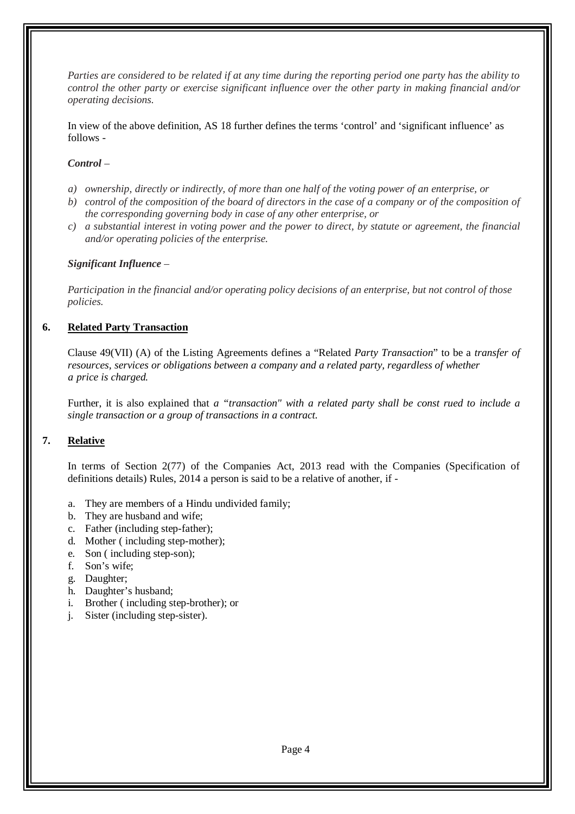*Parties are considered to be related if at any time during the reporting period one party has the ability to control the other party or exercise significant influence over the other party in making financial and/or operating decisions.*

In view of the above definition, AS 18 further defines the terms 'control' and 'significant influence' as follows -

#### *Control –*

- *a) ownership, directly or indirectly, of more than one half of the voting power of an enterprise, or*
- *b) control of the composition of the board of directors in the case of a company or of the composition of the corresponding governing body in case of any other enterprise, or*
- *c) a substantial interest in voting power and the power to direct, by statute or agreement, the financial and/or operating policies of the enterprise.*

#### *Significant Influence –*

*Participation in the financial and/or operating policy decisions of an enterprise, but not control of those policies.*

#### **6. Related Party Transaction**

Clause 49(VII) (A) of the Listing Agreements defines a "Related *Party Transaction*" to be a *transfer of resources, services or obligations between a company and a related party, regardless of whether a price is charged.* 

Further, it is also explained that *a "transaction" with a related party shall be const rued to include a single transaction or a group of transactions in a contract.* 

# **7. Relative**

In terms of Section 2(77) of the Companies Act, 2013 read with the Companies (Specification of definitions details) Rules, 2014 a person is said to be a relative of another, if -

- a. They are members of a Hindu undivided family;
- b. They are husband and wife;
- c. Father (including step-father);
- d. Mother ( including step-mother);
- e. Son ( including step-son);
- f. Son's wife;
- g. Daughter;
- h. Daughter's husband;
- i. Brother ( including step-brother); or
- j. Sister (including step-sister).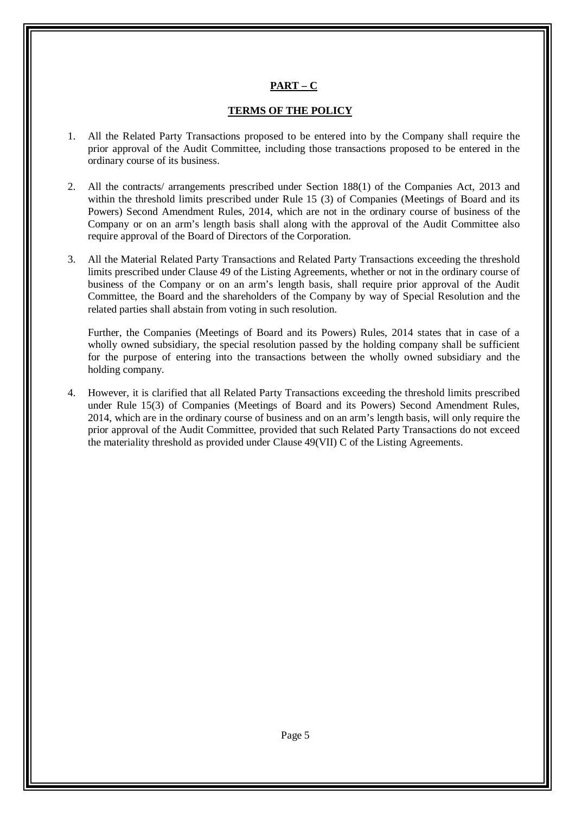# **PART – C**

#### **TERMS OF THE POLICY**

- 1. All the Related Party Transactions proposed to be entered into by the Company shall require the prior approval of the Audit Committee, including those transactions proposed to be entered in the ordinary course of its business.
- 2. All the contracts/ arrangements prescribed under Section 188(1) of the Companies Act, 2013 and within the threshold limits prescribed under Rule 15 (3) of Companies (Meetings of Board and its Powers) Second Amendment Rules, 2014, which are not in the ordinary course of business of the Company or on an arm's length basis shall along with the approval of the Audit Committee also require approval of the Board of Directors of the Corporation.
- 3. All the Material Related Party Transactions and Related Party Transactions exceeding the threshold limits prescribed under Clause 49 of the Listing Agreements, whether or not in the ordinary course of business of the Company or on an arm's length basis, shall require prior approval of the Audit Committee, the Board and the shareholders of the Company by way of Special Resolution and the related parties shall abstain from voting in such resolution.

Further, the Companies (Meetings of Board and its Powers) Rules, 2014 states that in case of a wholly owned subsidiary, the special resolution passed by the holding company shall be sufficient for the purpose of entering into the transactions between the wholly owned subsidiary and the holding company.

4. However, it is clarified that all Related Party Transactions exceeding the threshold limits prescribed under Rule 15(3) of Companies (Meetings of Board and its Powers) Second Amendment Rules, 2014, which are in the ordinary course of business and on an arm's length basis, will only require the prior approval of the Audit Committee, provided that such Related Party Transactions do not exceed the materiality threshold as provided under Clause 49(VII) C of the Listing Agreements.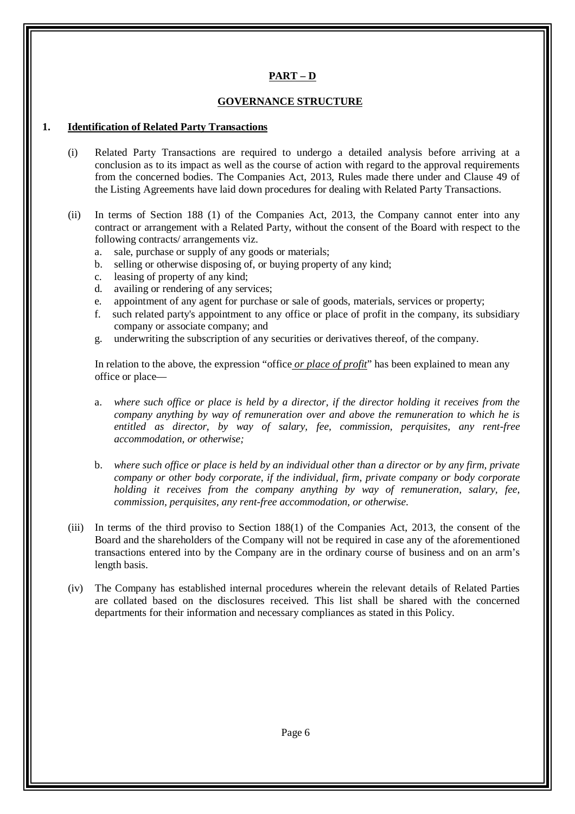# **PART – D**

#### **GOVERNANCE STRUCTURE**

#### **1. Identification of Related Party Transactions**

- (i) Related Party Transactions are required to undergo a detailed analysis before arriving at a conclusion as to its impact as well as the course of action with regard to the approval requirements from the concerned bodies. The Companies Act, 2013, Rules made there under and Clause 49 of the Listing Agreements have laid down procedures for dealing with Related Party Transactions.
- (ii) In terms of Section 188 (1) of the Companies Act, 2013, the Company cannot enter into any contract or arrangement with a Related Party, without the consent of the Board with respect to the following contracts/ arrangements viz.
	- a. sale, purchase or supply of any goods or materials;
	- b. selling or otherwise disposing of, or buying property of any kind;
	- c. leasing of property of any kind;
	- d. availing or rendering of any services;
	- e. appointment of any agent for purchase or sale of goods, materials, services or property;
	- f. such related party's appointment to any office or place of profit in the company, its subsidiary company or associate company; and
	- g. underwriting the subscription of any securities or derivatives thereof, of the company.

In relation to the above, the expression "office *or place of profit*" has been explained to mean any office or place—

- a. *where such office or place is held by a director, if the director holding it receives from the company anything by way of remuneration over and above the remuneration to which he is entitled as director, by way of salary, fee, commission, perquisites, any rent-free accommodation, or otherwise;*
- b. *where such office or place is held by an individual other than a director or by any firm, private company or other body corporate, if the individual, firm, private company or body corporate holding it receives from the company anything by way of remuneration, salary, fee, commission, perquisites, any rent-free accommodation, or otherwise*.
- (iii) In terms of the third proviso to Section 188(1) of the Companies Act, 2013, the consent of the Board and the shareholders of the Company will not be required in case any of the aforementioned transactions entered into by the Company are in the ordinary course of business and on an arm's length basis.
- (iv) The Company has established internal procedures wherein the relevant details of Related Parties are collated based on the disclosures received. This list shall be shared with the concerned departments for their information and necessary compliances as stated in this Policy.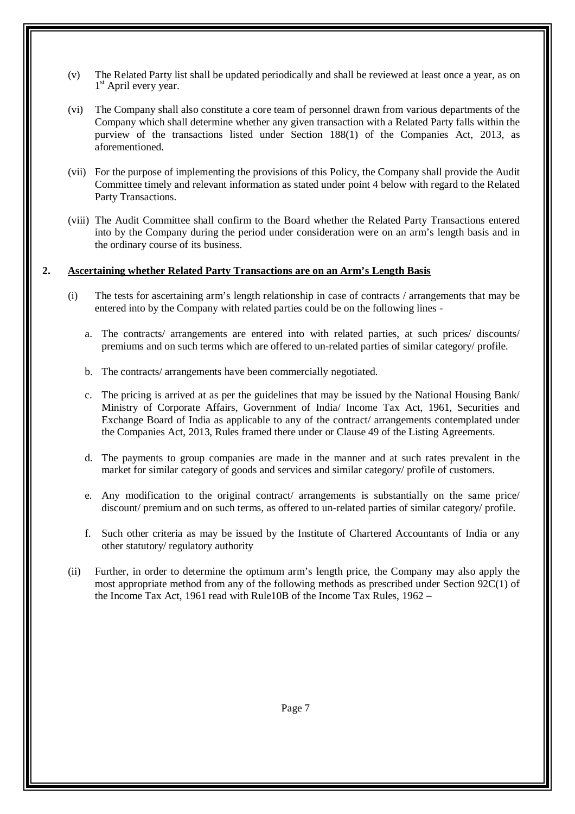- (v) The Related Party list shall be updated periodically and shall be reviewed at least once a year, as on 1<sup>st</sup> April every year.
- (vi) The Company shall also constitute a core team of personnel drawn from various departments of the Company which shall determine whether any given transaction with a Related Party falls within the purview of the transactions listed under Section 188(1) of the Companies Act, 2013, as aforementioned.
- (vii) For the purpose of implementing the provisions of this Policy, the Company shall provide the Audit Committee timely and relevant information as stated under point 4 below with regard to the Related Party Transactions.
- (viii) The Audit Committee shall confirm to the Board whether the Related Party Transactions entered into by the Company during the period under consideration were on an arm's length basis and in the ordinary course of its business.

#### **2. Ascertaining whether Related Party Transactions are on an Arm's Length Basis**

- (i) The tests for ascertaining arm's length relationship in case of contracts / arrangements that may be entered into by the Company with related parties could be on the following lines
	- a. The contracts/ arrangements are entered into with related parties, at such prices/ discounts/ premiums and on such terms which are offered to un-related parties of similar category/ profile.
	- b. The contracts/ arrangements have been commercially negotiated.
	- c. The pricing is arrived at as per the guidelines that may be issued by the National Housing Bank/ Ministry of Corporate Affairs, Government of India/ Income Tax Act, 1961, Securities and Exchange Board of India as applicable to any of the contract/ arrangements contemplated under the Companies Act, 2013, Rules framed there under or Clause 49 of the Listing Agreements.
	- d. The payments to group companies are made in the manner and at such rates prevalent in the market for similar category of goods and services and similar category/ profile of customers.
	- e. Any modification to the original contract/ arrangements is substantially on the same price/ discount/ premium and on such terms, as offered to un-related parties of similar category/ profile.
	- f. Such other criteria as may be issued by the Institute of Chartered Accountants of India or any other statutory/ regulatory authority
- (ii) Further, in order to determine the optimum arm's length price, the Company may also apply the most appropriate method from any of the following methods as prescribed under Section 92C(1) of the Income Tax Act, 1961 read with Rule10B of the Income Tax Rules, 1962 –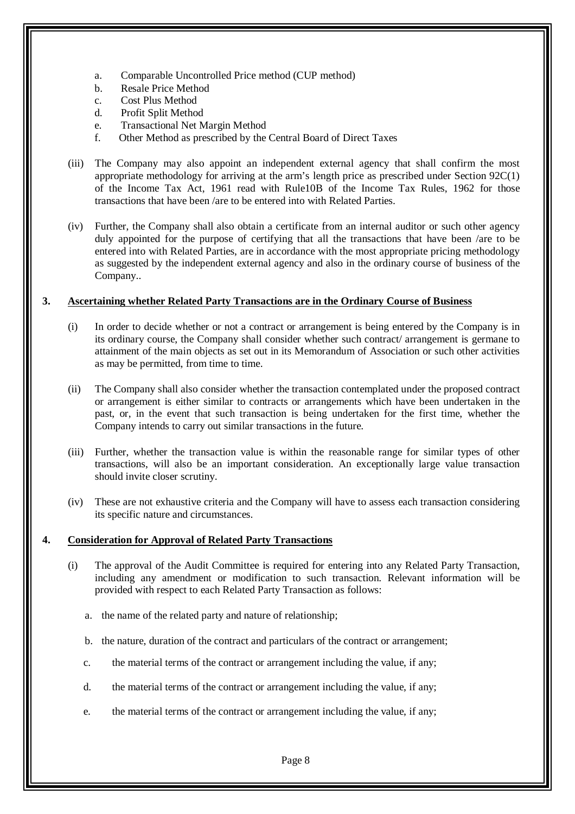- a. Comparable Uncontrolled Price method (CUP method)
- b. Resale Price Method
- c. Cost Plus Method
- d. Profit Split Method
- e. Transactional Net Margin Method
- f. Other Method as prescribed by the Central Board of Direct Taxes
- (iii) The Company may also appoint an independent external agency that shall confirm the most appropriate methodology for arriving at the arm's length price as prescribed under Section 92C(1) of the Income Tax Act, 1961 read with Rule10B of the Income Tax Rules, 1962 for those transactions that have been /are to be entered into with Related Parties.
- (iv) Further, the Company shall also obtain a certificate from an internal auditor or such other agency duly appointed for the purpose of certifying that all the transactions that have been /are to be entered into with Related Parties, are in accordance with the most appropriate pricing methodology as suggested by the independent external agency and also in the ordinary course of business of the Company..

#### **3. Ascertaining whether Related Party Transactions are in the Ordinary Course of Business**

- (i) In order to decide whether or not a contract or arrangement is being entered by the Company is in its ordinary course, the Company shall consider whether such contract/ arrangement is germane to attainment of the main objects as set out in its Memorandum of Association or such other activities as may be permitted, from time to time.
- (ii) The Company shall also consider whether the transaction contemplated under the proposed contract or arrangement is either similar to contracts or arrangements which have been undertaken in the past, or, in the event that such transaction is being undertaken for the first time, whether the Company intends to carry out similar transactions in the future.
- (iii) Further, whether the transaction value is within the reasonable range for similar types of other transactions, will also be an important consideration. An exceptionally large value transaction should invite closer scrutiny.
- (iv) These are not exhaustive criteria and the Company will have to assess each transaction considering its specific nature and circumstances.

#### **4. Consideration for Approval of Related Party Transactions**

- (i) The approval of the Audit Committee is required for entering into any Related Party Transaction, including any amendment or modification to such transaction. Relevant information will be provided with respect to each Related Party Transaction as follows:
	- a. the name of the related party and nature of relationship;
	- b. the nature, duration of the contract and particulars of the contract or arrangement;
	- c. the material terms of the contract or arrangement including the value, if any;
	- d. the material terms of the contract or arrangement including the value, if any;
	- e. the material terms of the contract or arrangement including the value, if any;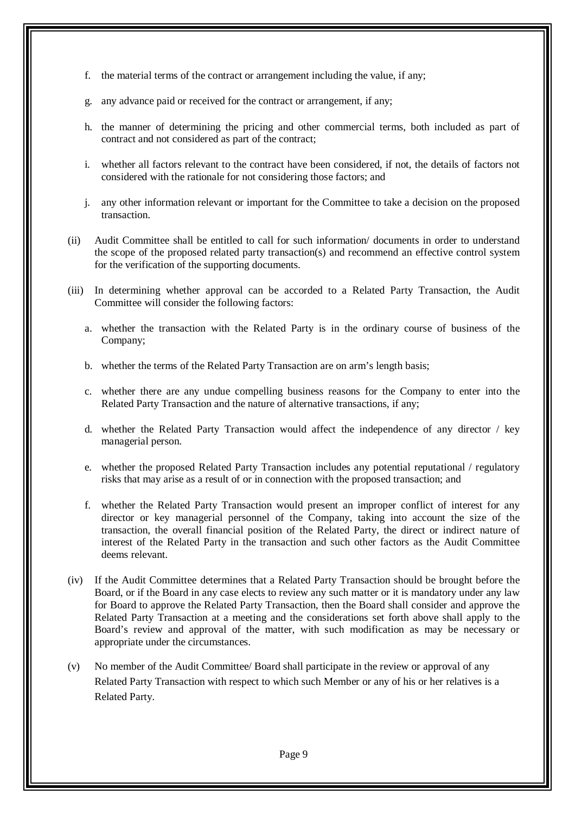- f. the material terms of the contract or arrangement including the value, if any;
- g. any advance paid or received for the contract or arrangement, if any;
- h. the manner of determining the pricing and other commercial terms, both included as part of contract and not considered as part of the contract;
- i. whether all factors relevant to the contract have been considered, if not, the details of factors not considered with the rationale for not considering those factors; and
- j. any other information relevant or important for the Committee to take a decision on the proposed transaction.
- (ii) Audit Committee shall be entitled to call for such information/ documents in order to understand the scope of the proposed related party transaction(s) and recommend an effective control system for the verification of the supporting documents.
- (iii) In determining whether approval can be accorded to a Related Party Transaction, the Audit Committee will consider the following factors:
	- a. whether the transaction with the Related Party is in the ordinary course of business of the Company;
	- b. whether the terms of the Related Party Transaction are on arm's length basis;
	- c. whether there are any undue compelling business reasons for the Company to enter into the Related Party Transaction and the nature of alternative transactions, if any;
	- d. whether the Related Party Transaction would affect the independence of any director / key managerial person.
	- e. whether the proposed Related Party Transaction includes any potential reputational / regulatory risks that may arise as a result of or in connection with the proposed transaction; and
	- f. whether the Related Party Transaction would present an improper conflict of interest for any director or key managerial personnel of the Company, taking into account the size of the transaction, the overall financial position of the Related Party, the direct or indirect nature of interest of the Related Party in the transaction and such other factors as the Audit Committee deems relevant.
- (iv) If the Audit Committee determines that a Related Party Transaction should be brought before the Board, or if the Board in any case elects to review any such matter or it is mandatory under any law for Board to approve the Related Party Transaction, then the Board shall consider and approve the Related Party Transaction at a meeting and the considerations set forth above shall apply to the Board's review and approval of the matter, with such modification as may be necessary or appropriate under the circumstances.
- (v) No member of the Audit Committee/ Board shall participate in the review or approval of any Related Party Transaction with respect to which such Member or any of his or her relatives is a Related Party.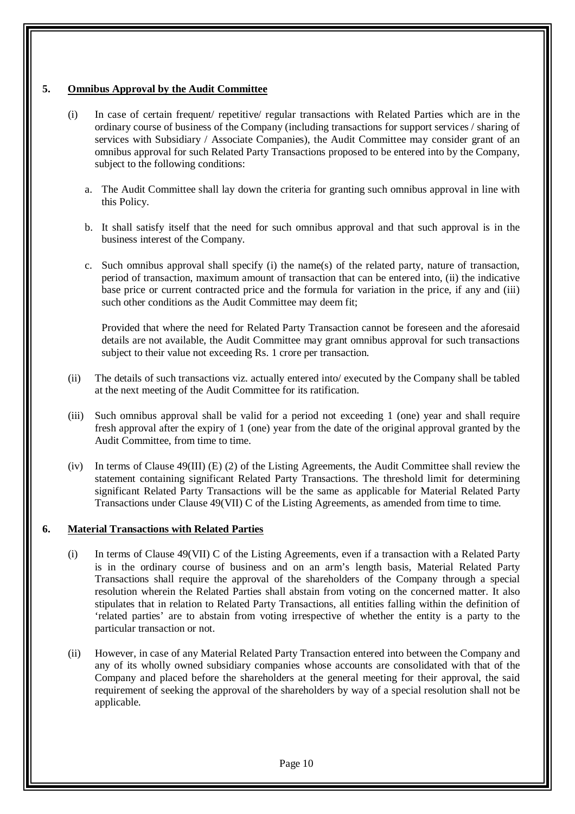#### **5. Omnibus Approval by the Audit Committee**

- (i) In case of certain frequent/ repetitive/ regular transactions with Related Parties which are in the ordinary course of business of the Company (including transactions for support services / sharing of services with Subsidiary / Associate Companies), the Audit Committee may consider grant of an omnibus approval for such Related Party Transactions proposed to be entered into by the Company, subject to the following conditions:
	- a. The Audit Committee shall lay down the criteria for granting such omnibus approval in line with this Policy.
	- b. It shall satisfy itself that the need for such omnibus approval and that such approval is in the business interest of the Company.
	- c. Such omnibus approval shall specify (i) the name(s) of the related party, nature of transaction, period of transaction, maximum amount of transaction that can be entered into, (ii) the indicative base price or current contracted price and the formula for variation in the price, if any and (iii) such other conditions as the Audit Committee may deem fit;

Provided that where the need for Related Party Transaction cannot be foreseen and the aforesaid details are not available, the Audit Committee may grant omnibus approval for such transactions subject to their value not exceeding Rs. 1 crore per transaction.

- (ii) The details of such transactions viz. actually entered into/ executed by the Company shall be tabled at the next meeting of the Audit Committee for its ratification.
- (iii) Such omnibus approval shall be valid for a period not exceeding 1 (one) year and shall require fresh approval after the expiry of 1 (one) year from the date of the original approval granted by the Audit Committee, from time to time.
- (iv) In terms of Clause 49(III) (E) (2) of the Listing Agreements, the Audit Committee shall review the statement containing significant Related Party Transactions. The threshold limit for determining significant Related Party Transactions will be the same as applicable for Material Related Party Transactions under Clause 49(VII) C of the Listing Agreements, as amended from time to time.

#### **6. Material Transactions with Related Parties**

- (i) In terms of Clause 49(VII) C of the Listing Agreements, even if a transaction with a Related Party is in the ordinary course of business and on an arm's length basis, Material Related Party Transactions shall require the approval of the shareholders of the Company through a special resolution wherein the Related Parties shall abstain from voting on the concerned matter. It also stipulates that in relation to Related Party Transactions, all entities falling within the definition of 'related parties' are to abstain from voting irrespective of whether the entity is a party to the particular transaction or not.
- (ii) However, in case of any Material Related Party Transaction entered into between the Company and any of its wholly owned subsidiary companies whose accounts are consolidated with that of the Company and placed before the shareholders at the general meeting for their approval, the said requirement of seeking the approval of the shareholders by way of a special resolution shall not be applicable.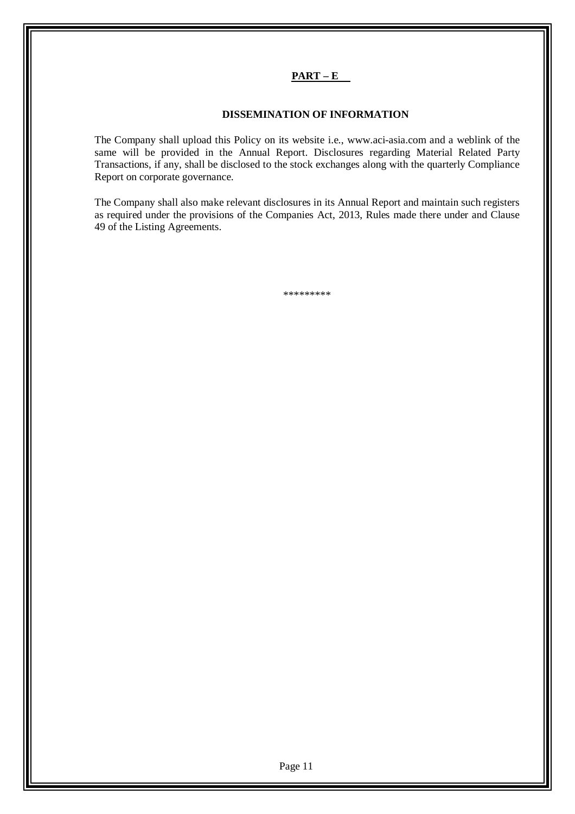# **PART – E**

#### **DISSEMINATION OF INFORMATION**

The Company shall upload this Policy on its website i.e., www.aci-asia.com and a weblink of the same will be provided in the Annual Report. Disclosures regarding Material Related Party Transactions, if any, shall be disclosed to the stock exchanges along with the quarterly Compliance Report on corporate governance.

The Company shall also make relevant disclosures in its Annual Report and maintain such registers as required under the provisions of the Companies Act, 2013, Rules made there under and Clause 49 of the Listing Agreements.

\*\*\*\*\*\*\*\*\*